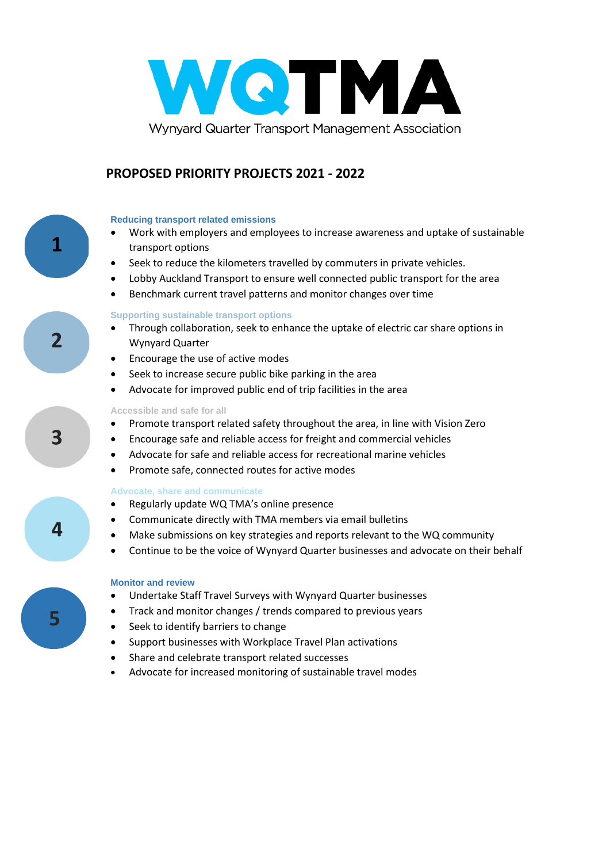

## **PROPOSED PRIORITY PROJECTS 2021 - 2022**

### **Reducing transport related emissions**

**1**

2

3

4

**5**

- Work with employers and employees to increase awareness and uptake of sustainable transport options
- Seek to reduce the kilometers travelled by commuters in private vehicles.
- Lobby Auckland Transport to ensure well connected public transport for the area
- Benchmark current travel patterns and monitor changes over time

#### **Supporting sustainable transport options**

- Through collaboration, seek to enhance the uptake of electric car share options in Wynyard Quarter
- Encourage the use of active modes
- Seek to increase secure public bike parking in the area
- Advocate for improved public end of trip facilities in the area

#### **Accessible and safe for all**

- Promote transport related safety throughout the area, in line with Vision Zero
- Encourage safe and reliable access for freight and commercial vehicles
- Advocate for safe and reliable access for recreational marine vehicles
- Promote safe, connected routes for active modes

#### **Advocate, share and communicate**

- Regularly update WQ TMA's online presence
- Communicate directly with TMA members via email bulletins
- Make submissions on key strategies and reports relevant to the WQ community
- Continue to be the voice of Wynyard Quarter businesses and advocate on their behalf

#### **Monitor and review**

- Undertake Staff Travel Surveys with Wynyard Quarter businesses
- Track and monitor changes / trends compared to previous years
- Seek to identify barriers to change
- Support businesses with Workplace Travel Plan activations
- Share and celebrate transport related successes
- Advocate for increased monitoring of sustainable travel modes